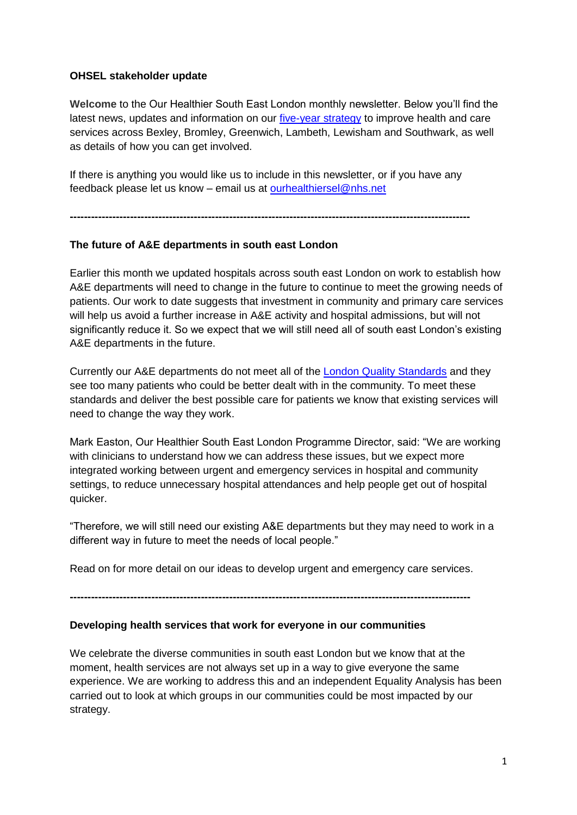## **OHSEL stakeholder update**

**Welcome** to the Our Healthier South East London monthly newsletter. Below you'll find the latest news, updates and information on our [five-year strategy](http://www.ourhealthiersel.nhs.uk/strategy) to improve health and care services across Bexley, Bromley, Greenwich, Lambeth, Lewisham and Southwark, as well as details of how you can get involved.

If there is anything you would like us to include in this newsletter, or if you have any feedback please let us know – email us at [ourhealthiersel@nhs.net](mailto:ourhealthiersel@nhs.net)

**-----------------------------------------------------------------------------------------------------------------**

## **The future of A&E departments in south east London**

Earlier this month we updated hospitals across south east London on work to establish how A&E departments will need to change in the future to continue to meet the growing needs of patients. Our work to date suggests that investment in community and primary care services will help us avoid a further increase in A&E activity and hospital admissions, but will not significantly reduce it. So we expect that we will still need all of south east London's existing A&E departments in the future.

Currently our A&E departments do not meet all of the [London Quality Standards](http://www.ourhealthiersel.nhs.uk/urgent-and-emergency-care.htm#uec ideas anchor) and they see too many patients who could be better dealt with in the community. To meet these standards and deliver the best possible care for patients we know that existing services will need to change the way they work.

Mark Easton, Our Healthier South East London Programme Director, said: "We are working with clinicians to understand how we can address these issues, but we expect more integrated working between urgent and emergency services in hospital and community settings, to reduce unnecessary hospital attendances and help people get out of hospital quicker.

"Therefore, we will still need our existing A&E departments but they may need to work in a different way in future to meet the needs of local people."

Read on for more detail on our ideas to develop urgent and emergency care services.

**-----------------------------------------------------------------------------------------------------------------**

## **Developing health services that work for everyone in our communities**

We celebrate the diverse communities in south east London but we know that at the moment, health services are not always set up in a way to give everyone the same experience. We are working to address this and an independent Equality Analysis has been carried out to look at which groups in our communities could be most impacted by our strategy.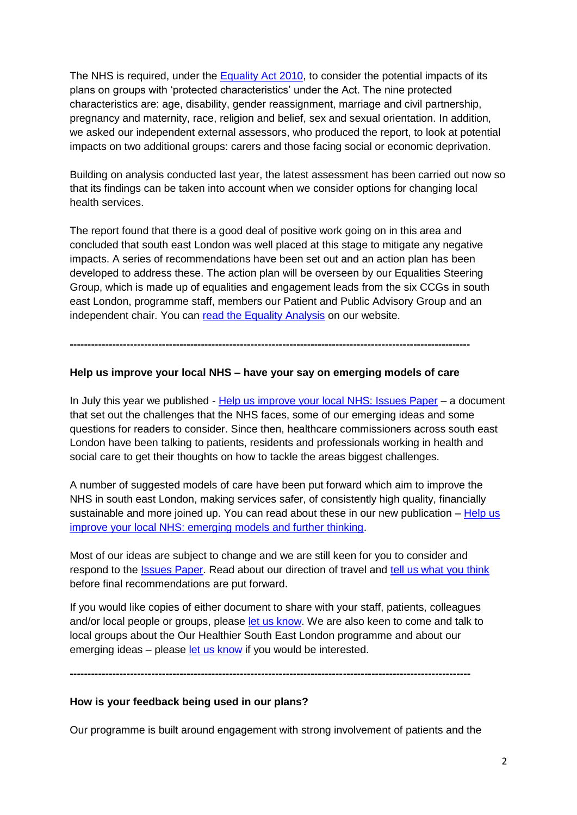The NHS is required, under the [Equality Act 2010,](https://www.gov.uk/guidance/equality-act-2010-guidance) to consider the potential impacts of its plans on groups with 'protected characteristics' under the Act. The nine protected characteristics are: age, disability, gender reassignment, marriage and civil partnership, pregnancy and maternity, race, religion and belief, sex and sexual orientation. In addition, we asked our independent external assessors, who produced the report, to look at potential impacts on two additional groups: carers and those facing social or economic deprivation.

Building on analysis conducted last year, the latest assessment has been carried out now so that its findings can be taken into account when we consider options for changing local health services.

The report found that there is a good deal of positive work going on in this area and concluded that south east London was well placed at this stage to mitigate any negative impacts. A series of recommendations have been set out and an action plan has been developed to address these. The action plan will be overseen by our Equalities Steering Group, which is made up of equalities and engagement leads from the six CCGs in south east London, programme staff, members our Patient and Public Advisory Group and an independent chair. You can [read the Equality Analysis](http://www.ourhealthiersel.nhs.uk/Downloads/Equality%20Analysis%202015%20FINAL.pdf) on our website.

**-----------------------------------------------------------------------------------------------------------------**

## **Help us improve your local NHS – have your say on emerging models of care**

In July this year we published - [Help us improve your local NHS: Issues Paper](http://www.ourhealthiersel.nhs.uk/about-us/issues-paper.htm) – a document that set out the challenges that the NHS faces, some of our emerging ideas and some questions for readers to consider. Since then, healthcare commissioners across south east London have been talking to patients, residents and professionals working in health and social care to get their thoughts on how to tackle the areas biggest challenges.

A number of suggested models of care have been put forward which aim to improve the NHS in south east London, making services safer, of consistently high quality, financially sustainable and more joined up. You can read about these in our new publication – Help us [improve your local NHS: emerging models and further thinking.](http://www.ourhealthiersel.nhs.uk/Downloads/Help%20us%20improve%20your%20local%20NHS%20-%20emerging%20models.pdf)

Most of our ideas are subject to change and we are still keen for you to consider and respond to the [Issues Paper.](http://www.ourhealthiersel.nhs.uk/about-us/issues-paper.htm) Read about our direction of travel and [tell us what you think](http://www.ourhealthiersel.nhs.uk/about-us/issues-paper_2.htm) before final recommendations are put forward.

If you would like copies of either document to share with your staff, patients, colleagues and/or local people or groups, please [let us know.](mailto:ourhealthiersel@nhs.net) We are also keen to come and talk to local groups about the Our Healthier South East London programme and about our emerging ideas – please [let us know](mailto:ourhealthiersel@nhs.net) if you would be interested.

**-----------------------------------------------------------------------------------------------------------------**

## **How is your feedback being used in our plans?**

Our programme is built around engagement with strong involvement of patients and the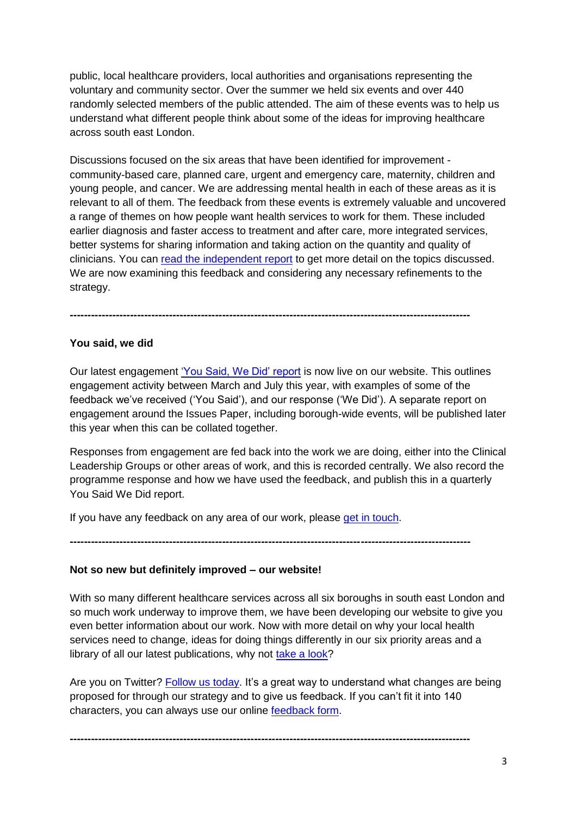public, local healthcare providers, local authorities and organisations representing the voluntary and community sector. Over the summer we held six events and over 440 randomly selected members of the public attended. The aim of these events was to help us understand what different people think about some of the ideas for improving healthcare across south east London.

Discussions focused on the six areas that have been identified for improvement community-based care, planned care, urgent and emergency care, maternity, children and young people, and cancer. We are addressing mental health in each of these areas as it is relevant to all of them. The feedback from these events is extremely valuable and uncovered a range of themes on how people want health services to work for them. These included earlier diagnosis and faster access to treatment and after care, more integrated services, better systems for sharing information and taking action on the quantity and quality of clinicians. You can [read the independent report](http://www.ourhealthiersel.nhs.uk/Feedback) to get more detail on the topics discussed. We are now examining this feedback and considering any necessary refinements to the strategy.

## **You said, we did**

Our latest engagement ['You Said, We Did' report](http://www.ourhealthiersel.nhs.uk/Downloads/Strategy%20documents/You-Said-We-Did-July-2015.pdf) is now live on our website. This outlines engagement activity between March and July this year, with examples of some of the feedback we've received ('You Said'), and our response ('We Did'). A separate report on engagement around the Issues Paper, including borough-wide events, will be published later this year when this can be collated together.

**-----------------------------------------------------------------------------------------------------------------**

Responses from engagement are fed back into the work we are doing, either into the Clinical Leadership Groups or other areas of work, and this is recorded centrally. We also record the programme response and how we have used the feedback, and publish this in a quarterly You Said We Did report.

If you have any feedback on any area of our work, please [get in touch.](mailto:ourhealthiersel@nhs.net)

**-----------------------------------------------------------------------------------------------------------------**

# **Not so new but definitely improved – our website!**

With so many different healthcare services across all six boroughs in south east London and so much work underway to improve them, we have been developing our website to give you even better information about our work. Now with more detail on why your local health services need to change, ideas for doing things differently in our six priority areas and a library of all our latest publications, why not [take a look?](http://www.ourhealthiersel.nhs.uk/)

Are you on Twitter? [Follow us today.](https://twitter.com/ourhealthiersel) It's a great way to understand what changes are being proposed for through our strategy and to give us feedback. If you can't fit it into 140 characters, you can always use our online [feedback form.](http://www.ourhealthiersel.nhs.uk/about-us/issues-paper_2.htm)

**-----------------------------------------------------------------------------------------------------------------**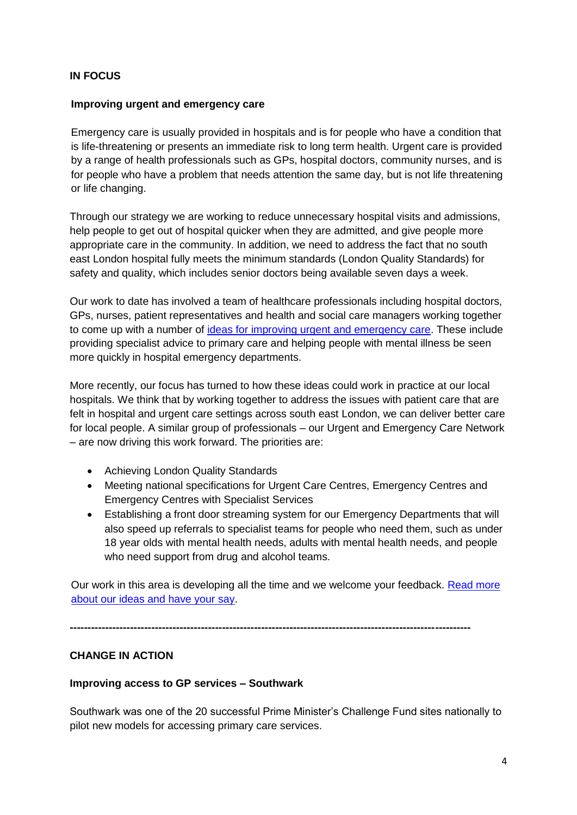## **IN FOCUS**

#### **Improving urgent and emergency care**

Emergency care is usually provided in hospitals and is for people who have a condition that is life-threatening or presents an immediate risk to long term health. Urgent care is provided by a range of health professionals such as GPs, hospital doctors, community nurses, and is for people who have a problem that needs attention the same day, but is not life threatening or life changing.

Through our strategy we are working to reduce unnecessary hospital visits and admissions, help people to get out of hospital quicker when they are admitted, and give people more appropriate care in the community. In addition, we need to address the fact that no south east London hospital fully meets the minimum standards (London Quality Standards) for safety and quality, which includes senior doctors being available seven days a week.

Our work to date has involved a team of healthcare professionals including hospital doctors, GPs, nurses, patient representatives and health and social care managers working together to come up with a number of [ideas for improving urgent and emergency care.](http://www.ourhealthiersel.nhs.uk/urgent-and-emergency-care.htm#uec ideas anchor) These include providing specialist advice to primary care and helping people with mental illness be seen more quickly in hospital emergency departments.

More recently, our focus has turned to how these ideas could work in practice at our local hospitals. We think that by working together to address the issues with patient care that are felt in hospital and urgent care settings across south east London, we can deliver better care for local people. A similar group of professionals – our Urgent and Emergency Care Network – are now driving this work forward. The priorities are:

- Achieving London Quality Standards
- Meeting national specifications for Urgent Care Centres, Emergency Centres and Emergency Centres with Specialist Services
- Establishing a front door streaming system for our Emergency Departments that will also speed up referrals to specialist teams for people who need them, such as under 18 year olds with mental health needs, adults with mental health needs, and people who need support from drug and alcohol teams.

Our work in this area is developing all the time and we welcome your feedback. Read more [about our ideas and have your say.](http://www.ourhealthiersel.nhs.uk/urgent-and-emergency-care.htm#uec ideas anchor)

**-----------------------------------------------------------------------------------------------------------------**

# **CHANGE IN ACTION**

#### **Improving access to GP services – Southwark**

Southwark was one of the 20 successful Prime Minister's Challenge Fund sites nationally to pilot new models for accessing primary care services.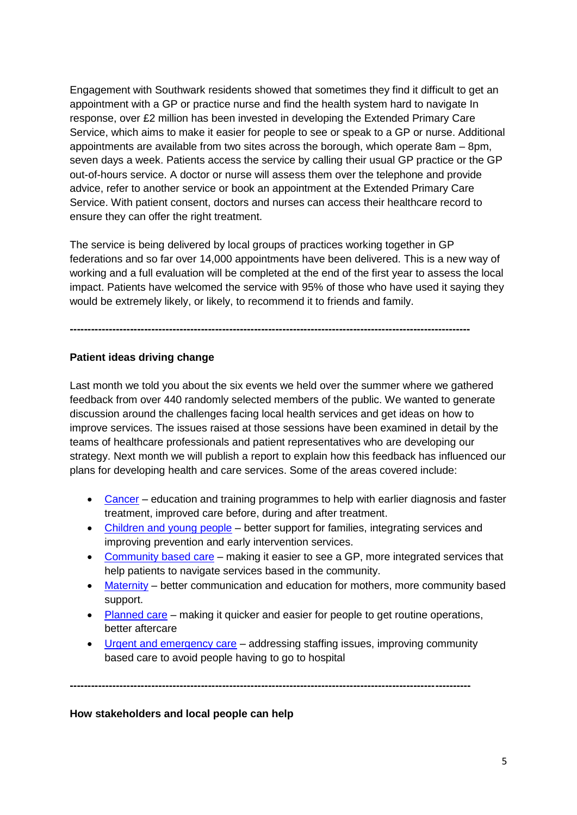Engagement with Southwark residents showed that sometimes they find it difficult to get an appointment with a GP or practice nurse and find the health system hard to navigate In response, over £2 million has been invested in developing the Extended Primary Care Service, which aims to make it easier for people to see or speak to a GP or nurse. Additional appointments are available from two sites across the borough, which operate 8am – 8pm, seven days a week. Patients access the service by calling their usual GP practice or the GP out-of-hours service. A doctor or nurse will assess them over the telephone and provide advice, refer to another service or book an appointment at the Extended Primary Care Service. With patient consent, doctors and nurses can access their healthcare record to ensure they can offer the right treatment.

The service is being delivered by local groups of practices working together in GP federations and so far over 14,000 appointments have been delivered. This is a new way of working and a full evaluation will be completed at the end of the first year to assess the local impact. Patients have welcomed the service with 95% of those who have used it saying they would be extremely likely, or likely, to recommend it to friends and family.

**-----------------------------------------------------------------------------------------------------------------**

## **Patient ideas driving change**

Last month we told you about the six events we held over the summer where we gathered feedback from over 440 randomly selected members of the public. We wanted to generate discussion around the challenges facing local health services and get ideas on how to improve services. The issues raised at those sessions have been examined in detail by the teams of healthcare professionals and patient representatives who are developing our strategy. Next month we will publish a report to explain how this feedback has influenced our plans for developing health and care services. Some of the areas covered include:

- [Cancer](http://www.ourhealthiersel.nhs.uk/cancer.htm) education and training programmes to help with earlier diagnosis and faster treatment, improved care before, during and after treatment.
- [Children and young people](http://www.ourhealthiersel.nhs.uk/children-and-young-people.htm) better support for families, integrating services and improving prevention and early intervention services.
- [Community based care](http://www.ourhealthiersel.nhs.uk/community-based-care.htm) making it easier to see a GP, more integrated services that help patients to navigate services based in the community.
- [Maternity](http://www.ourhealthiersel.nhs.uk/maternity-services.htm) better communication and education for mothers, more community based support.
- [Planned care](http://www.ourhealthiersel.nhs.uk/planned-care.htm) making it quicker and easier for people to get routine operations, better aftercare
- [Urgent and emergency care](http://www.ourhealthiersel.nhs.uk/urgent-and-emergency-care.htm) addressing staffing issues, improving community based care to avoid people having to go to hospital

**-----------------------------------------------------------------------------------------------------------------**

**How stakeholders and local people can help**